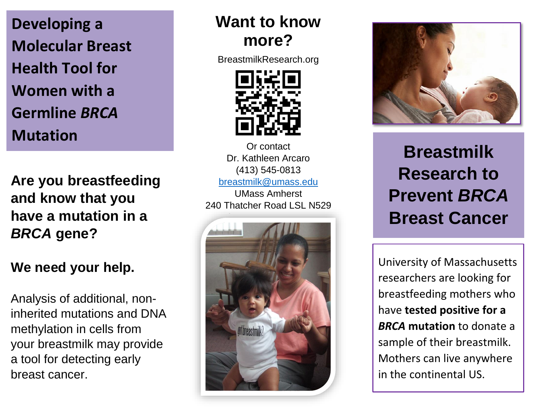**Developing a Molecular Breast Health Tool for Women with a Germline** *BRCA*  **Mutation**

**Are you breastfeeding and know that you have a mutation in a** *BRCA* **gene?** 

## **We need your help.**

Analysis of additional, noninherited mutations and DNA methylation in cells from your breastmilk may provide a tool for detecting early breast cancer.

# **Want to know more?**

BreastmilkResearch.org



Or contact Dr. Kathleen Arcaro (413) 545-0813 [breastmilk@umass.edu](mailto:breastmilk@umass.edu) UMass Amherst 240 Thatcher Road LSL N529





**Breastmilk Research to Prevent** *BRCA*  **Breast Cancer**

University of Massachusetts researchers are looking for breastfeeding mothers who have **tested positive for a**  *BRCA* **mutation** to donate a sample of their breastmilk. Mothers can live anywhere in the continental US.